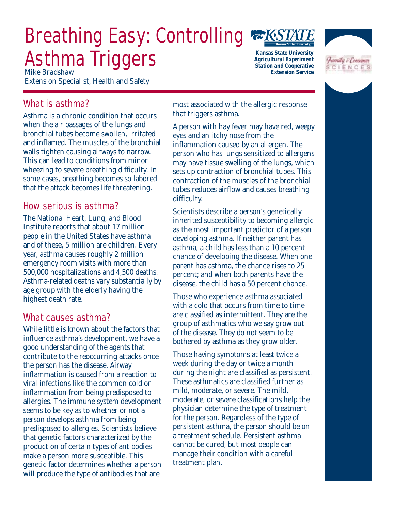# Breathing Easy: Controlling Asthma Triggers *Mike Bradshaw*



*Kansas State University Agricultural Experiment Station and Cooperative Extension Service*



Extension Specialist, Health and Safety

# What is asthma?

Asthma is a chronic condition that occurs when the air passages of the lungs and bronchial tubes become swollen, irritated and inflamed. The muscles of the bronchial walls tighten causing airways to narrow. This can lead to conditions from minor wheezing to severe breathing difficulty. In some cases, breathing becomes so labored that the attack becomes life threatening.

# How serious is asthma?

The National Heart, Lung, and Blood Institute reports that about 17 million people in the United States have asthma and of these, 5 million are children. Every year, asthma causes roughly 2 million emergency room visits with more than 500,000 hospitalizations and 4,500 deaths. Asthma-related deaths vary substantially by age group with the elderly having the highest death rate.

# What causes asthma?

While little is known about the factors that influence asthma's development, we have a good understanding of the agents that contribute to the reoccurring attacks once the person has the disease. Airway inflammation is caused from a reaction to viral infections like the common cold or inflammation from being predisposed to allergies. The immune system development seems to be key as to whether or not a person develops asthma from being predisposed to allergies. Scientists believe that genetic factors characterized by the production of certain types of antibodies make a person more susceptible. This genetic factor determines whether a person will produce the type of antibodies that are

most associated with the allergic response that triggers asthma.

A person with hay fever may have red, weepy eyes and an itchy nose from the inflammation caused by an allergen. The person who has lungs sensitized to allergens may have tissue swelling of the lungs, which sets up contraction of bronchial tubes. This contraction of the muscles of the bronchial tubes reduces airflow and causes breathing difficulty.

Scientists describe a person's genetically inherited susceptibility to becoming allergic as the most important predictor of a person developing asthma. If neither parent has asthma, a child has less than a 10 percent chance of developing the disease. When one parent has asthma, the chance rises to 25 percent; and when both parents have the disease, the child has a 50 percent chance.

Those who experience asthma associated with a cold that occurs from time to time are classified as intermittent. They are the group of asthmatics who we say grow out of the disease. They do not seem to be bothered by asthma as they grow older.

Those having symptoms at least twice a week during the day or twice a month during the night are classified as persistent. These asthmatics are classified further as mild, moderate, or severe. The mild, moderate, or severe classifications help the physician determine the type of treatment for the person. Regardless of the type of persistent asthma, the person should be on a treatment schedule. Persistent asthma cannot be cured, but most people can manage their condition with a careful treatment plan.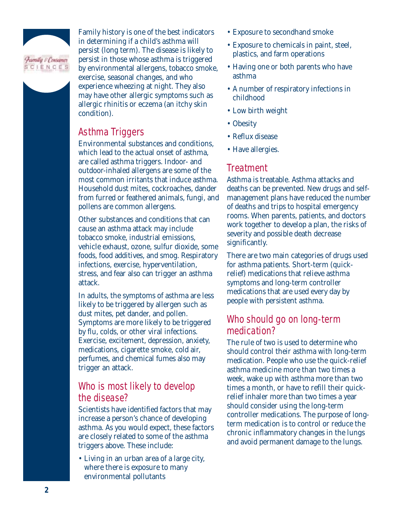

Family history is one of the best indicators in determining if a child's asthma will persist (long term). The disease is likely to persist in those whose asthma is triggered by environmental allergens, tobacco smoke, exercise, seasonal changes, and who experience wheezing at night. They also may have other allergic symptoms such as allergic rhinitis or eczema (an itchy skin condition).

#### Asthma Triggers

Environmental substances and conditions, which lead to the actual onset of asthma, are called asthma triggers. Indoor- and outdoor-inhaled allergens are some of the most common irritants that induce asthma. Household dust mites, cockroaches, dander from furred or feathered animals, fungi, and pollens are common allergens.

Other substances and conditions that can cause an asthma attack may include tobacco smoke, industrial emissions, vehicle exhaust, ozone, sulfur dioxide, some foods, food additives, and smog. Respiratory infections, exercise, hyperventilation, stress, and fear also can trigger an asthma attack.

In adults, the symptoms of asthma are less likely to be triggered by allergen such as dust mites, pet dander, and pollen. Symptoms are more likely to be triggered by flu, colds, or other viral infections. Exercise, excitement, depression, anxiety, medications, cigarette smoke, cold air, perfumes, and chemical fumes also may trigger an attack.

# Who is most likely to develop the disease?

Scientists have identified factors that may increase a person's chance of developing asthma. As you would expect, these factors are closely related to some of the asthma triggers above. These include:

• Living in an urban area of a large city, where there is exposure to many environmental pollutants

- Exposure to secondhand smoke
- Exposure to chemicals in paint, steel, plastics, and farm operations
- Having one or both parents who have asthma
- A number of respiratory infections in childhood
- Low birth weight
- Obesity
- Reflux disease
- Have allergies.

#### **Treatment**

Asthma is treatable. Asthma attacks and deaths can be prevented. New drugs and selfmanagement plans have reduced the number of deaths and trips to hospital emergency rooms. When parents, patients, and doctors work together to develop a plan, the risks of severity and possible death decrease significantly.

There are two main categories of drugs used for asthma patients. Short-term (quickrelief) medications that relieve asthma symptoms and long-term controller medications that are used every day by people with persistent asthma.

#### Who should go on long-term medication?

The rule of two is used to determine who should control their asthma with long-term medication. People who use the quick-relief asthma medicine more than two times a week, wake up with asthma more than two times a month, or have to refill their quickrelief inhaler more than two times a year should consider using the long-term controller medications. The purpose of longterm medication is to control or reduce the chronic inflammatory changes in the lungs and avoid permanent damage to the lungs.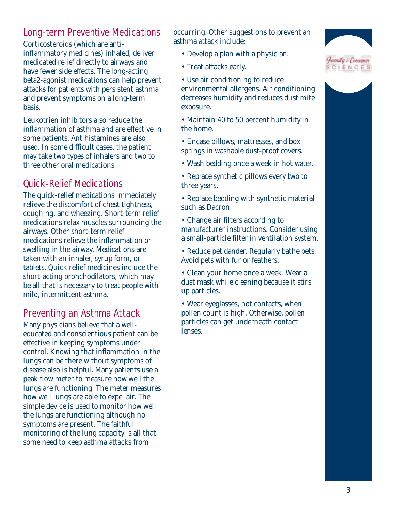# Long-term Preventive Medications

Corticosteroids (which are antiinflammatory medicines) inhaled, deliver medicated relief directly to airways and have fewer side effects. The long-acting beta2-agonist medications can help prevent attacks for patients with persistent asthma and prevent symptoms on a long-term basis.

Leukotrien inhibitors also reduce the inflammation of asthma and are effective in some patients. Antihistamines are also used. In some difficult cases, the patient may take two types of inhalers and two to three other oral medications.

# Quick-Relief Medications

The quick-relief medications immediately relieve the discomfort of chest tightness, coughing, and wheezing. Short-term relief medications relax muscles surrounding the airways. Other short-term relief medications relieve the inflammation or swelling in the airway. Medications are taken with an inhaler, syrup form, or tablets. Quick relief medicines include the short-acting bronchodilators, which may be all that is necessary to treat people with mild, intermittent asthma.

# Preventing an Asthma Attack

Many physicians believe that a welleducated and conscientious patient can be effective in keeping symptoms under control. Knowing that inflammation in the lungs can be there without symptoms of disease also is helpful. Many patients use a peak flow meter to measure how well the lungs are functioning. The meter measures how well lungs are able to expel air. The simple device is used to monitor how well the lungs are functioning although no symptoms are present. The faithful monitoring of the lung capacity is all that some need to keep asthma attacks from

occurring. Other suggestions to prevent an asthma attack include:

- Develop a plan with a physician.
- Treat attacks early.
- Use air conditioning to reduce environmental allergens. Air conditioning decreases humidity and reduces dust mite exposure.
- Maintain 40 to 50 percent humidity in the home.
- Encase pillows, mattresses, and box springs in washable dust-proof covers.
- Wash bedding once a week in hot water.
- Replace synthetic pillows every two to three years.
- Replace bedding with synthetic material such as Dacron.
- Change air filters according to manufacturer instructions. Consider using a small-particle filter in ventilation system.
- Reduce pet dander. Regularly bathe pets. Avoid pets with fur or feathers.
- Clean your home once a week. Wear a dust mask while cleaning because it stirs up particles.
- Wear eyeglasses, not contacts, when pollen count is high. Otherwise, pollen particles can get underneath contact lenses.